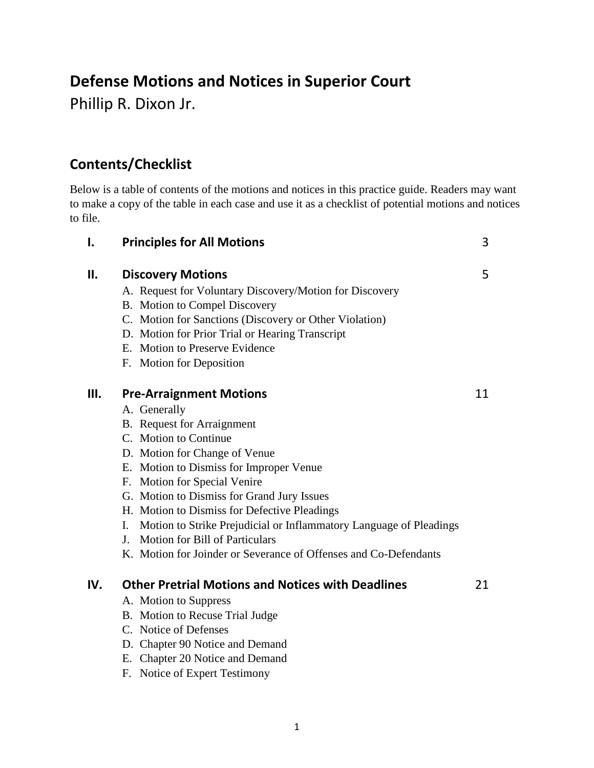## **Defense Motions and Notices in Superior Court**

Phillip R. Dixon Jr.

## **Contents/Checklist**

Below is a table of contents of the motions and notices in this practice guide. Readers may want to make a copy of the table in each case and use it as a checklist of potential motions and notices to file.

| I.  | <b>Principles for All Motions</b>                                        | 3  |
|-----|--------------------------------------------------------------------------|----|
| П.  | <b>Discovery Motions</b>                                                 | 5  |
|     | A. Request for Voluntary Discovery/Motion for Discovery                  |    |
|     | B. Motion to Compel Discovery                                            |    |
|     | C. Motion for Sanctions (Discovery or Other Violation)                   |    |
|     | D. Motion for Prior Trial or Hearing Transcript                          |    |
|     | E. Motion to Preserve Evidence                                           |    |
|     | F. Motion for Deposition                                                 |    |
| Ш.  | <b>Pre-Arraignment Motions</b>                                           | 11 |
|     | A. Generally                                                             |    |
|     | <b>B.</b> Request for Arraignment                                        |    |
|     | C. Motion to Continue                                                    |    |
|     | D. Motion for Change of Venue                                            |    |
|     | E. Motion to Dismiss for Improper Venue                                  |    |
|     | F. Motion for Special Venire                                             |    |
|     | G. Motion to Dismiss for Grand Jury Issues                               |    |
|     | H. Motion to Dismiss for Defective Pleadings                             |    |
|     | Motion to Strike Prejudicial or Inflammatory Language of Pleadings<br>I. |    |
|     | <b>Motion for Bill of Particulars</b><br>J.                              |    |
|     | K. Motion for Joinder or Severance of Offenses and Co-Defendants         |    |
| IV. | <b>Other Pretrial Motions and Notices with Deadlines</b>                 | 21 |
|     | A. Motion to Suppress                                                    |    |
|     | B. Motion to Recuse Trial Judge                                          |    |
|     | C. Notice of Defenses                                                    |    |
|     | D. Chapter 90 Notice and Demand                                          |    |
|     | E. Chapter 20 Notice and Demand                                          |    |
|     | F. Notice of Expert Testimony                                            |    |
|     |                                                                          |    |